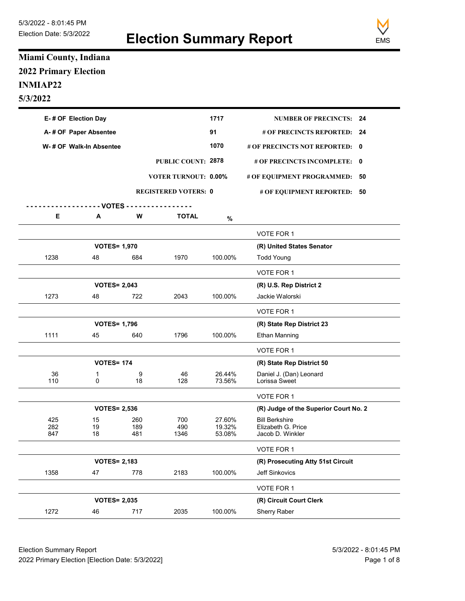

## Miami County, Indiana 2022 Primary Election INMIAP22 5/3/2022

|                                                 | Election Date: 5/3/2022   |             | <b>Election Summary Report</b> | <b>EMS</b>       |                                                     |  |
|-------------------------------------------------|---------------------------|-------------|--------------------------------|------------------|-----------------------------------------------------|--|
| Miami County, Indiana                           |                           |             |                                |                  |                                                     |  |
| <b>2022 Primary Election</b><br><b>INMIAP22</b> |                           |             |                                |                  |                                                     |  |
| 5/3/2022                                        |                           |             |                                |                  |                                                     |  |
|                                                 | E-# OF Election Day       |             |                                | 1717             | <b>NUMBER OF PRECINCTS: 24</b>                      |  |
|                                                 | A-# OF Paper Absentee     |             |                                | 91               | # OF PRECINCTS REPORTED: 24                         |  |
|                                                 | W-# OF Walk-In Absentee   |             |                                | 1070             | # OF PRECINCTS NOT REPORTED: 0                      |  |
|                                                 |                           |             | PUBLIC COUNT: 2878             |                  | # OF PRECINCTS INCOMPLETE: 0                        |  |
|                                                 |                           |             | VOTER TURNOUT: 0.00%           |                  | # OF EQUIPMENT PROGRAMMED: 50                       |  |
|                                                 |                           |             | <b>REGISTERED VOTERS: 0</b>    |                  | # OF EQUIPMENT REPORTED: 50                         |  |
| Е                                               | - VOTES<br>Α              | W           | <b>TOTAL</b>                   | $\%$             |                                                     |  |
|                                                 |                           |             |                                |                  | VOTE FOR 1                                          |  |
|                                                 | <b>VOTES= 1,970</b>       |             |                                |                  | (R) United States Senator                           |  |
| 1238                                            | 48                        | 684         | 1970                           | 100.00%          | <b>Todd Young</b>                                   |  |
|                                                 |                           |             |                                |                  | VOTE FOR 1                                          |  |
| 1273                                            | <b>VOTES= 2,043</b><br>48 | 722         | 2043                           | 100.00%          | (R) U.S. Rep District 2<br>Jackie Walorski          |  |
|                                                 |                           |             |                                |                  | VOTE FOR 1                                          |  |
|                                                 | <b>VOTES= 1,796</b>       |             |                                |                  | (R) State Rep District 23                           |  |
| 1111                                            | 45                        | 640         | 1796                           | 100.00%          | Ethan Manning                                       |  |
|                                                 |                           |             |                                |                  | VOTE FOR 1                                          |  |
|                                                 | <b>VOTES= 174</b>         |             |                                |                  | (R) State Rep District 50                           |  |
| $36\,$<br>110                                   | 0                         | 9<br>$18\,$ | 46<br>128                      | 26.44%<br>73.56% | Daniel J. (Dan) Leonard<br>Lorissa Sweet            |  |
|                                                 |                           |             |                                |                  | VOTE FOR 1                                          |  |
|                                                 | <b>VOTES= 2,536</b>       |             |                                |                  | (R) Judge of the Superior Court No. 2               |  |
| 425<br>282                                      | $15\,$<br>$19$            | 260<br>189  | 700<br>490                     | 27.60%<br>19.32% | <b>Bill Berkshire</b><br>Elizabeth G. Price         |  |
| 847                                             | $18\,$                    | 481         | 1346                           | 53.08%           | Jacob D. Winkler                                    |  |
|                                                 |                           |             |                                |                  | VOTE FOR 1                                          |  |
| 1358                                            | <b>VOTES= 2,183</b><br>47 | 778         | 2183                           | 100.00%          | (R) Prosecuting Atty 51st Circuit<br>Jeff Sinkovics |  |
|                                                 |                           |             |                                |                  | VOTE FOR 1                                          |  |
|                                                 | <b>VOTES= 2,035</b>       |             |                                |                  | (R) Circuit Court Clerk                             |  |
| 1272                                            | 46                        | 717         | 2035                           | 100.00%          | Sherry Raber                                        |  |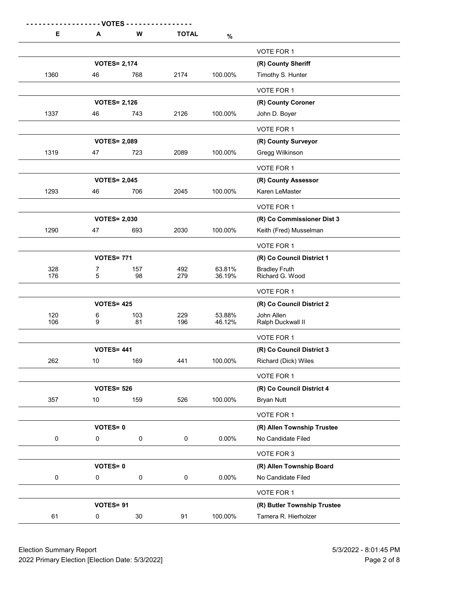| E<br>1360<br>1337<br>1319 | - VOTES -<br>A<br><b>VOTES= 2,174</b><br>46 | W                          | <b>TOTAL</b> |                                                                                                                            |                                                     |
|---------------------------|---------------------------------------------|----------------------------|--------------|----------------------------------------------------------------------------------------------------------------------------|-----------------------------------------------------|
|                           |                                             |                            |              |                                                                                                                            |                                                     |
|                           |                                             |                            |              |                                                                                                                            |                                                     |
|                           |                                             |                            |              |                                                                                                                            |                                                     |
|                           |                                             |                            |              |                                                                                                                            |                                                     |
|                           |                                             |                            |              |                                                                                                                            |                                                     |
|                           |                                             |                            |              |                                                                                                                            | VOTE FOR 1<br>(R) County Sheriff                    |
|                           |                                             | 768                        | 2174         | 100.00%                                                                                                                    | Timothy S. Hunter                                   |
|                           |                                             |                            |              |                                                                                                                            | VOTE FOR 1                                          |
|                           | 46                                          | <b>VOTES= 2,126</b><br>743 | 2126         |                                                                                                                            | (R) County Coroner<br>John D. Boyer                 |
|                           |                                             |                            |              |                                                                                                                            | VOTE FOR 1                                          |
|                           | <b>VOTES= 2,089</b>                         |                            |              |                                                                                                                            | (R) County Surveyor                                 |
|                           | 47                                          | 723                        | 2089         | $\%$<br>100.00%<br>100.00%<br>100.00%<br>100.00%<br>63.81%<br>36.19%<br>53.88%<br>46.12%<br>100.00%<br>100.00%<br>$0.00\%$ | Gregg Wilkinson                                     |
|                           |                                             |                            |              |                                                                                                                            | VOTE FOR 1                                          |
| 1293                      | <b>VOTES= 2,045</b><br>46                   | 706                        | 2045         |                                                                                                                            | (R) County Assessor<br>Karen LeMaster               |
|                           |                                             |                            |              |                                                                                                                            | VOTE FOR 1                                          |
|                           | <b>VOTES= 2,030</b>                         |                            |              |                                                                                                                            | (R) Co Commissioner Dist 3                          |
| 1290                      | 47                                          | 693                        | 2030         |                                                                                                                            | Keith (Fred) Musselman                              |
|                           |                                             |                            |              |                                                                                                                            | VOTE FOR 1                                          |
| 328                       | <b>VOTES= 771</b><br>7                      | 157                        | 492          |                                                                                                                            | (R) Co Council District 1                           |
| 176                       | 5                                           | 98                         | 279          |                                                                                                                            | Bradley Fruth<br>Richard G. Wood                    |
|                           |                                             |                            |              |                                                                                                                            | VOTE FOR 1                                          |
| 120                       | <b>VOTES= 425</b><br>6                      | 103                        | 229          |                                                                                                                            | (R) Co Council District 2<br>John Allen             |
| 106                       | 9                                           | 81                         | 196          |                                                                                                                            | Ralph Duckwall II                                   |
|                           |                                             |                            |              |                                                                                                                            | VOTE FOR 1                                          |
| 262                       | <b>VOTES= 441</b><br>$10$                   | 169                        | 441          |                                                                                                                            | (R) Co Council District 3<br>Richard (Dick) Wiles   |
|                           |                                             |                            |              |                                                                                                                            | VOTE FOR 1                                          |
|                           | <b>VOTES= 526</b>                           |                            |              |                                                                                                                            | (R) Co Council District 4                           |
| 357                       | 10                                          | 159                        | 526          |                                                                                                                            | <b>Bryan Nutt</b>                                   |
|                           |                                             |                            |              |                                                                                                                            | VOTE FOR 1                                          |
| $\mathbf 0$               | <b>VOTES=0</b><br>0                         | $\mathbf 0$                | $\mathbf 0$  |                                                                                                                            | (R) Allen Township Trustee<br>No Candidate Filed    |
|                           |                                             |                            |              |                                                                                                                            | VOTE FOR 3                                          |
|                           | <b>VOTES=0</b>                              |                            |              |                                                                                                                            | (R) Allen Township Board                            |
| $\pmb{0}$                 | 0                                           | $\mathbf 0$                | $\mathbf 0$  | $0.00\%$                                                                                                                   | No Candidate Filed                                  |
|                           | VOTES= 91                                   |                            |              |                                                                                                                            | VOTE FOR 1                                          |
| 61                        | $\overline{0}$                              | 30                         | 91           | 100.00%                                                                                                                    | (R) Butler Township Trustee<br>Tamera R. Hierholzer |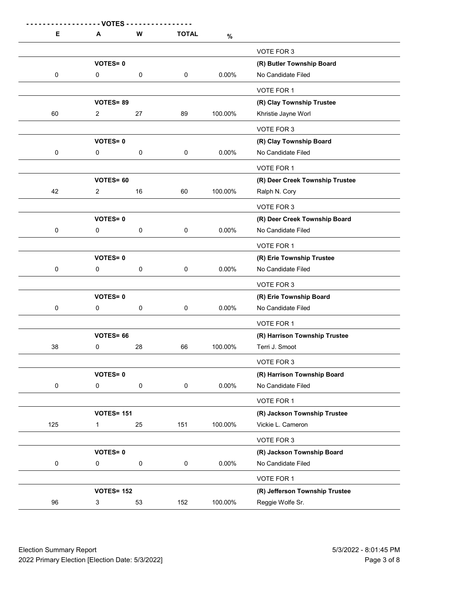| Е         | - VOTES<br>A                          | W           | <b>TOTAL</b>        |                                                                                                   |                                                   |
|-----------|---------------------------------------|-------------|---------------------|---------------------------------------------------------------------------------------------------|---------------------------------------------------|
|           |                                       |             |                     |                                                                                                   | VOTE FOR 3                                        |
|           | <b>VOTES=0</b>                        |             |                     |                                                                                                   | (R) Butler Township Board                         |
| 0         | $\mathbf 0$                           | 0           | $\mathsf 0$         | $0.00\%$                                                                                          | No Candidate Filed                                |
|           |                                       |             |                     |                                                                                                   | VOTE FOR 1                                        |
|           | VOTES=89                              |             |                     |                                                                                                   | (R) Clay Township Trustee                         |
| $60\,$    | $\overline{a}$                        | $27\,$      | 89                  | 100.00%                                                                                           | Khristie Jayne Worl                               |
|           |                                       |             |                     |                                                                                                   | VOTE FOR 3                                        |
|           | <b>VOTES=0</b>                        |             |                     |                                                                                                   | (R) Clay Township Board                           |
| 0         | $\pmb{0}$                             | $\pmb{0}$   | $\mathsf{O}\xspace$ | $\%$<br>$0.00\%$<br>100.00%<br>$0.00\%$<br>$0.00\%$<br>$0.00\%$<br>100.00%<br>$0.00\%$<br>100.00% | No Candidate Filed                                |
|           |                                       |             |                     |                                                                                                   | VOTE FOR 1                                        |
|           | VOTES= 60                             |             |                     |                                                                                                   | (R) Deer Creek Township Trustee                   |
| 42        | $\overline{2}$                        | $16\,$      | 60                  |                                                                                                   | Ralph N. Cory                                     |
|           |                                       |             |                     |                                                                                                   | VOTE FOR 3                                        |
|           | <b>VOTES=0</b>                        |             |                     |                                                                                                   | (R) Deer Creek Township Board                     |
| $\pmb{0}$ | $\mathsf{O}\xspace$                   | $\mathbf 0$ | $\mathsf{O}\xspace$ |                                                                                                   | No Candidate Filed                                |
|           |                                       |             |                     |                                                                                                   | VOTE FOR 1                                        |
|           | <b>VOTES=0</b>                        |             |                     |                                                                                                   | (R) Erie Township Trustee                         |
| 0         | $\mathsf{O}\xspace$                   | $\pmb{0}$   | $\mathsf{O}\xspace$ |                                                                                                   | No Candidate Filed                                |
|           |                                       |             |                     |                                                                                                   | VOTE FOR 3                                        |
|           | <b>VOTES=0</b>                        |             |                     |                                                                                                   | (R) Erie Township Board                           |
| $\pmb{0}$ | $\mathsf{O}\xspace$                   | $\mathbf 0$ | $\mathbf 0$         |                                                                                                   | No Candidate Filed                                |
|           |                                       |             |                     |                                                                                                   | VOTE FOR 1                                        |
|           | VOTES= 66                             |             |                     |                                                                                                   | (R) Harrison Township Trustee                     |
| $38\,$    | $\mathbf 0$                           | 28          | 66                  |                                                                                                   | Terri J. Smoot                                    |
|           |                                       |             |                     |                                                                                                   | VOTE FOR 3                                        |
| $\pmb{0}$ | <b>VOTES=0</b><br>$\mathsf{O}\xspace$ | $\pmb{0}$   | $\mathsf{O}\xspace$ |                                                                                                   | (R) Harrison Township Board<br>No Candidate Filed |
|           |                                       |             |                     |                                                                                                   |                                                   |
|           | <b>VOTES= 151</b>                     |             |                     |                                                                                                   | VOTE FOR 1                                        |
| 125       | $\mathbf{1}$                          | 25          | 151                 |                                                                                                   | (R) Jackson Township Trustee<br>Vickie L. Cameron |
|           |                                       |             |                     |                                                                                                   |                                                   |
|           | <b>VOTES=0</b>                        |             |                     |                                                                                                   | VOTE FOR 3<br>(R) Jackson Township Board          |
| $\pmb{0}$ | $\mathsf{O}\xspace$                   | $\pmb{0}$   | $\mathbf 0$         | $0.00\%$                                                                                          | No Candidate Filed                                |
|           |                                       |             |                     |                                                                                                   | VOTE FOR 1                                        |
|           | <b>VOTES= 152</b>                     |             |                     |                                                                                                   | (R) Jefferson Township Trustee                    |
| 96        | 3                                     | 53          | 152                 | 100.00%                                                                                           | Reggie Wolfe Sr.                                  |
|           |                                       |             |                     |                                                                                                   |                                                   |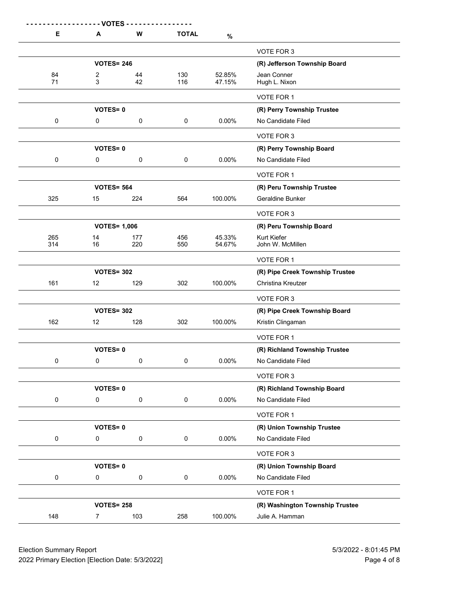|                                | - VOTES -                                       |             |              |                                                                                    |                                                  |
|--------------------------------|-------------------------------------------------|-------------|--------------|------------------------------------------------------------------------------------|--------------------------------------------------|
| E                              | A                                               | W           | <b>TOTAL</b> | $\%$                                                                               |                                                  |
|                                |                                                 |             |              |                                                                                    | VOTE FOR 3                                       |
|                                | <b>VOTES= 246</b>                               |             |              |                                                                                    | (R) Jefferson Township Board                     |
| 84<br>71                       | $\overline{c}$<br>$\mathbf{3}$                  | 44<br>42    | 130<br>116   | 52.85%<br>47.15%                                                                   | Jean Conner<br>Hugh L. Nixon                     |
|                                |                                                 |             |              |                                                                                    |                                                  |
|                                |                                                 |             |              |                                                                                    | VOTE FOR 1                                       |
| $\mathbf 0$                    | <b>VOTES=0</b><br>0                             | $\mathsf 0$ | $\mathsf 0$  |                                                                                    | (R) Perry Township Trustee<br>No Candidate Filed |
|                                |                                                 |             |              |                                                                                    |                                                  |
|                                | <b>VOTES=0</b>                                  |             |              | 0.00%<br>$0.00\%$<br>100.00%<br>45.33%<br>54.67%<br>100.00%<br>100.00%<br>$0.00\%$ | VOTE FOR 3<br>(R) Perry Township Board           |
| $\mathbf 0$                    | 0                                               | $\mathbf 0$ | $\mathbf 0$  |                                                                                    | No Candidate Filed                               |
|                                |                                                 |             |              |                                                                                    | VOTE FOR 1                                       |
|                                | <b>VOTES= 564</b>                               |             |              |                                                                                    | (R) Peru Township Trustee                        |
| 325                            | 15                                              | 224         | 564          |                                                                                    | Geraldine Bunker                                 |
|                                |                                                 |             |              |                                                                                    | VOTE FOR 3                                       |
|                                | <b>VOTES= 1,006</b>                             |             |              |                                                                                    | (R) Peru Township Board                          |
| 265                            | 14                                              | 177         | 456          |                                                                                    | Kurt Kiefer                                      |
| 314                            | 16                                              | 220         | 550          |                                                                                    | John W. McMillen                                 |
|                                |                                                 |             |              |                                                                                    | VOTE FOR 1                                       |
|                                | <b>VOTES= 302</b>                               |             |              |                                                                                    | (R) Pipe Creek Township Trustee                  |
| 161                            | 12                                              | 129         | 302          |                                                                                    | Christina Kreutzer                               |
|                                |                                                 |             |              |                                                                                    | VOTE FOR 3                                       |
|                                | <b>VOTES= 302</b>                               |             |              |                                                                                    | (R) Pipe Creek Township Board                    |
| 162                            | 12                                              | 128         | 302          |                                                                                    | Kristin Clingaman                                |
|                                |                                                 |             |              |                                                                                    | VOTE FOR 1                                       |
|                                | <b>VOTES=0</b>                                  |             |              |                                                                                    | (R) Richland Township Trustee                    |
| $\mathbf 0$                    | 0                                               | $\mathbf 0$ | $\mathbf 0$  |                                                                                    | No Candidate Filed                               |
|                                |                                                 |             |              |                                                                                    | VOTE FOR 3                                       |
|                                | <b>VOTES=0</b>                                  |             |              |                                                                                    | (R) Richland Township Board                      |
| $\mathbf 0$                    | $\mathbf 0$                                     | $\mathbf 0$ | $\mathbf 0$  | 0.00%                                                                              | No Candidate Filed                               |
|                                |                                                 |             |              |                                                                                    | VOTE FOR 1                                       |
|                                | <b>VOTES=0</b>                                  |             |              |                                                                                    | (R) Union Township Trustee                       |
| $\mathbf 0$                    | 0                                               | $\mathbf 0$ | $\mathbf 0$  | $0.00\%$                                                                           | No Candidate Filed                               |
|                                |                                                 |             |              |                                                                                    | VOTE FOR 3                                       |
|                                | <b>VOTES=0</b>                                  |             |              |                                                                                    | (R) Union Township Board                         |
| $\mathbf 0$                    | 0                                               | $\mathbf 0$ | $\mathbf 0$  | $0.00\%$                                                                           | No Candidate Filed                               |
|                                |                                                 |             |              |                                                                                    | VOTE FOR 1                                       |
|                                | <b>VOTES= 258</b>                               |             |              |                                                                                    | (R) Washington Township Trustee                  |
| 148                            | $7\overline{}$                                  | 103         | 258          | 100.00%                                                                            | Julie A. Hamman                                  |
|                                |                                                 |             |              |                                                                                    |                                                  |
| <b>Election Summary Report</b> |                                                 |             |              |                                                                                    | 5/3/2022 - 8:01:45 PM                            |
|                                | 2022 Primary Election [Election Date: 5/3/2022] |             |              |                                                                                    |                                                  |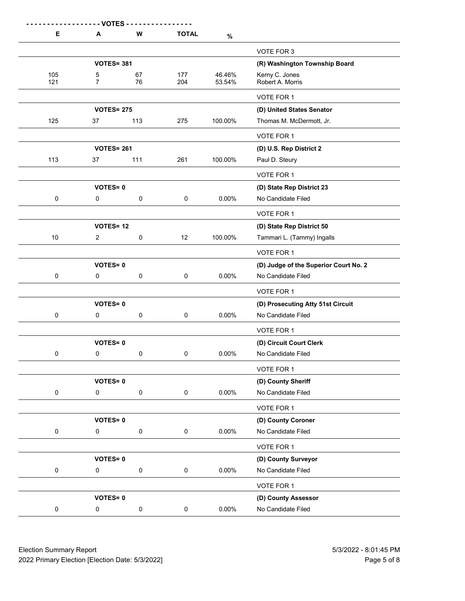| Е              | - VOTES -<br>A                | W                   | <b>TOTAL</b>        | $\%$                 |                                                             |
|----------------|-------------------------------|---------------------|---------------------|----------------------|-------------------------------------------------------------|
|                |                               |                     |                     |                      | VOTE FOR 3                                                  |
|                | <b>VOTES= 381</b>             |                     |                     |                      | (R) Washington Township Board                               |
| 105<br>121     | 5<br>$\overline{7}$           | 67<br>76            | 177<br>204          | 46.46%<br>53.54%     | Kerny C. Jones<br>Robert A. Morris                          |
|                |                               |                     |                     |                      | VOTE FOR 1                                                  |
|                | <b>VOTES= 275</b>             |                     |                     |                      | (D) United States Senator                                   |
| 125            | 37                            | 113                 | 275                 | 100.00%              | Thomas M. McDermott, Jr.                                    |
|                |                               |                     |                     |                      | VOTE FOR 1                                                  |
|                | <b>VOTES= 261</b>             |                     |                     |                      | (D) U.S. Rep District 2                                     |
| 113            | 37                            | 111                 | 261                 | 100.00%              | Paul D. Steury                                              |
|                | <b>VOTES=0</b>                |                     |                     |                      | VOTE FOR 1<br>(D) State Rep District 23                     |
| $\mathbf 0$    | $\mathbf{0}$                  | $\pmb{0}$           | $\mathsf{O}\xspace$ | $0.00\%$             | No Candidate Filed                                          |
|                |                               |                     |                     |                      | VOTE FOR 1                                                  |
|                | <b>VOTES= 12</b>              |                     |                     |                      | (D) State Rep District 50                                   |
| $10\,$         | $\overline{a}$                | $\pmb{0}$           | 12                  | 100.00%<br>$0.00\%$  | Tammari L. (Tammy) Ingalls                                  |
|                |                               |                     |                     |                      | VOTE FOR 1                                                  |
| $\overline{0}$ | <b>VOTES=0</b><br>$\mathbf 0$ | $\pmb{0}$           | $\mathbf 0$         |                      | (D) Judge of the Superior Court No. 2<br>No Candidate Filed |
|                |                               |                     |                     |                      | VOTE FOR 1                                                  |
|                | <b>VOTES=0</b>                |                     |                     |                      | (D) Prosecuting Atty 51st Circuit                           |
| $\mathbf 0$    | $\mathbf 0$                   | $\pmb{0}$           | $\mathbf 0$         | $0.00\%$<br>$0.00\%$ | No Candidate Filed                                          |
|                |                               |                     |                     |                      | VOTE FOR 1                                                  |
| $\mathbf 0$    | <b>VOTES=0</b><br>$\mathbf 0$ | $\pmb{0}$           | $\mathsf{O}\xspace$ |                      | (D) Circuit Court Clerk<br>No Candidate Filed               |
|                |                               |                     |                     |                      | VOTE FOR 1                                                  |
|                | <b>VOTES=0</b>                |                     |                     |                      | (D) County Sheriff                                          |
| $\mathbf 0$    | $\mathbf 0$                   | $\pmb{0}$           | $\mathbf 0$         | $0.00\%$             | No Candidate Filed                                          |
|                |                               |                     |                     |                      | VOTE FOR 1                                                  |
|                | <b>VOTES=0</b>                |                     |                     |                      | (D) County Coroner                                          |
| $\mathbf 0$    | $\mathbf 0$                   | $\pmb{0}$           | $\mathbf 0$         | $0.00\%$             | No Candidate Filed                                          |
|                | <b>VOTES=0</b>                |                     |                     |                      | VOTE FOR 1<br>(D) County Surveyor                           |
| $\mathbf 0$    | $\mathbf 0$                   | $\mathsf{O}\xspace$ | $\mathbf 0$         | $0.00\%$             | No Candidate Filed                                          |
|                |                               |                     |                     |                      | VOTE FOR 1                                                  |
|                | <b>VOTES=0</b>                |                     |                     |                      | (D) County Assessor                                         |
| $\mathbf 0$    | $\mathbf 0$                   | $\mathbf 0$         | $\mathbf 0$         | $0.00\%$             | No Candidate Filed                                          |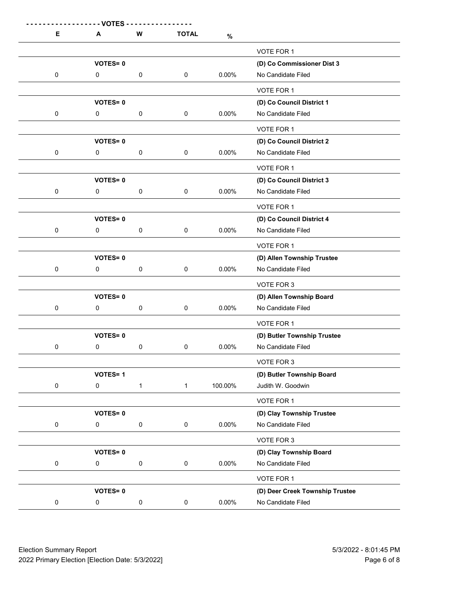|           | - VOTES -                      | W              | <b>TOTAL</b>        |          |                                                   |
|-----------|--------------------------------|----------------|---------------------|----------|---------------------------------------------------|
| Е         | A                              |                |                     | $\%$     |                                                   |
|           | <b>VOTES=0</b>                 |                |                     |          | VOTE FOR 1<br>(D) Co Commissioner Dist 3          |
| 0         | $\mathbf 0$                    | 0              | $\mathbf 0$         | $0.00\%$ | No Candidate Filed                                |
|           |                                |                |                     |          | VOTE FOR 1                                        |
| $\pmb{0}$ | <b>VOTES=0</b>                 |                |                     | $0.00\%$ | (D) Co Council District 1<br>No Candidate Filed   |
|           | $\mathbf 0$                    | $\pmb{0}$      | $\mathbf 0$         |          | VOTE FOR 1                                        |
|           | <b>VOTES=0</b>                 |                |                     |          | (D) Co Council District 2                         |
| $\pmb{0}$ | $\pmb{0}$                      | $\pmb{0}$      | $\mathsf{O}\xspace$ | $0.00\%$ | No Candidate Filed                                |
|           |                                |                |                     |          | VOTE FOR 1                                        |
| $\pmb{0}$ | <b>VOTES=0</b><br>$\pmb{0}$    | $\pmb{0}$      | $\mathsf{O}\xspace$ | $0.00\%$ | (D) Co Council District 3<br>No Candidate Filed   |
|           |                                |                |                     |          | VOTE FOR 1                                        |
|           | <b>VOTES=0</b>                 |                |                     |          | (D) Co Council District 4                         |
| $\pmb{0}$ | $\mathsf{O}\xspace$            | $\pmb{0}$      | $\mathsf{O}\xspace$ | $0.00\%$ | No Candidate Filed                                |
|           |                                |                |                     |          | VOTE FOR 1                                        |
| $\pmb{0}$ | VOTES=0<br>$\mathsf{O}\xspace$ | $\pmb{0}$      | $\pmb{0}$           | $0.00\%$ | (D) Allen Township Trustee<br>No Candidate Filed  |
|           |                                |                |                     |          | VOTE FOR 3                                        |
|           | <b>VOTES=0</b>                 |                |                     |          | (D) Allen Township Board                          |
| $\pmb{0}$ | $\mathbf{0}$                   | $\pmb{0}$      | $\mathbf 0$         | $0.00\%$ | No Candidate Filed                                |
|           |                                |                |                     |          | VOTE FOR 1                                        |
| $\pmb{0}$ | VOTES=0<br>$\mathbf 0$         | $\pmb{0}$      | $\mathbf 0$         | $0.00\%$ | (D) Butler Township Trustee<br>No Candidate Filed |
|           |                                |                |                     |          | VOTE FOR 3                                        |
|           | <b>VOTES=1</b>                 |                |                     |          | (D) Butler Township Board                         |
| $\pmb{0}$ | $\mathsf{O}\xspace$            | $\overline{1}$ | $\overline{1}$      | 100.00%  | Judith W. Goodwin                                 |
|           | VOTES=0                        |                |                     |          | VOTE FOR 1                                        |
| $\pmb{0}$ | $\mathsf{O}\xspace$            | $\pmb{0}$      | $\mathbf 0$         | $0.00\%$ | (D) Clay Township Trustee<br>No Candidate Filed   |
|           |                                |                |                     |          | VOTE FOR 3                                        |
|           | <b>VOTES=0</b>                 |                |                     |          | (D) Clay Township Board                           |
| $\pmb{0}$ | $\pmb{0}$                      | $\pmb{0}$      | $\mathbf 0$         | $0.00\%$ | No Candidate Filed                                |
|           | <b>VOTES=0</b>                 |                |                     |          | VOTE FOR 1<br>(D) Deer Creek Township Trustee     |
| 0         | $\mathbf 0$                    | $\pmb{0}$      | $\mathbf 0$         | $0.00\%$ | No Candidate Filed                                |
|           |                                |                |                     |          |                                                   |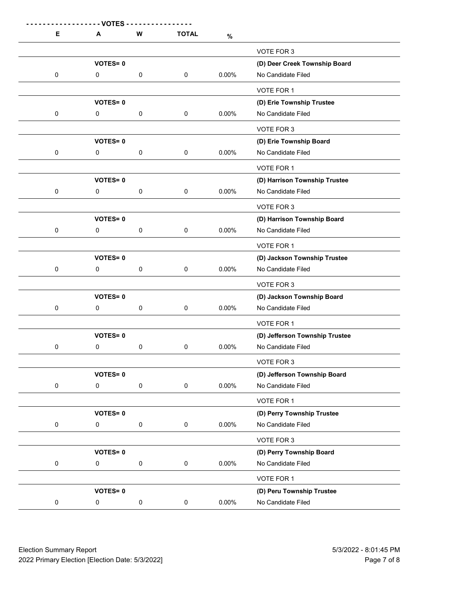| Е         |                                       |             |                     |          |                                                     |
|-----------|---------------------------------------|-------------|---------------------|----------|-----------------------------------------------------|
|           |                                       |             |                     |          |                                                     |
|           |                                       |             |                     |          |                                                     |
|           |                                       |             |                     |          |                                                     |
|           |                                       |             |                     |          |                                                     |
|           |                                       |             |                     |          |                                                     |
|           |                                       |             |                     |          |                                                     |
|           |                                       |             |                     |          |                                                     |
|           | - VOTES<br>A                          | W           | <b>TOTAL</b>        | $\%$     |                                                     |
|           |                                       |             |                     |          | VOTE FOR 3                                          |
|           | <b>VOTES=0</b>                        |             |                     |          | (D) Deer Creek Township Board                       |
| 0         | $\mathbf 0$                           | 0           | $\mathsf 0$         | $0.00\%$ | No Candidate Filed                                  |
|           |                                       |             |                     |          | VOTE FOR 1                                          |
|           | <b>VOTES=0</b>                        |             |                     |          | (D) Erie Township Trustee                           |
| $\pmb{0}$ | $\mathbf 0$                           | $\pmb{0}$   | $\mathbf 0$         | $0.00\%$ | No Candidate Filed                                  |
|           |                                       |             |                     |          | VOTE FOR 3                                          |
|           | VOTES=0                               |             |                     |          | (D) Erie Township Board                             |
| 0         | $\pmb{0}$                             | $\pmb{0}$   | $\mathsf{O}\xspace$ | $0.00\%$ | No Candidate Filed                                  |
|           |                                       |             |                     |          | VOTE FOR 1                                          |
| $\pmb{0}$ | <b>VOTES=0</b><br>$\mathsf{O}\xspace$ | $\pmb{0}$   | $\mathsf{O}\xspace$ | $0.00\%$ | (D) Harrison Township Trustee<br>No Candidate Filed |
|           |                                       |             |                     |          |                                                     |
|           | <b>VOTES=0</b>                        |             |                     |          | VOTE FOR 3<br>(D) Harrison Township Board           |
| $\pmb{0}$ | $\mathsf{O}\xspace$                   | $\pmb{0}$   | $\mathsf{O}\xspace$ | $0.00\%$ | No Candidate Filed                                  |
|           |                                       |             |                     |          | VOTE FOR 1                                          |
|           | <b>VOTES=0</b>                        |             |                     |          | (D) Jackson Township Trustee                        |
| $\pmb{0}$ | $\mathsf{O}\xspace$                   | $\pmb{0}$   | $\pmb{0}$           | $0.00\%$ | No Candidate Filed                                  |
|           |                                       |             |                     |          | VOTE FOR 3                                          |
|           | <b>VOTES=0</b>                        |             |                     |          | (D) Jackson Township Board                          |
| $\pmb{0}$ | $\mathbf{0}$                          | $\mathbf 0$ | $\mathbf 0$         | $0.00\%$ | No Candidate Filed                                  |
|           |                                       |             |                     |          | VOTE FOR 1                                          |
|           | <b>VOTES=0</b>                        |             |                     |          | (D) Jefferson Township Trustee                      |
| $\pmb{0}$ | $\mathbf 0$                           | $\pmb{0}$   | $\mathsf{O}\xspace$ | $0.00\%$ | No Candidate Filed                                  |
|           |                                       |             |                     |          | VOTE FOR 3                                          |
| $\pmb{0}$ | <b>VOTES=0</b><br>$\mathbf 0$         | $\pmb{0}$   | $\mathbf 0$         | $0.00\%$ | (D) Jefferson Township Board<br>No Candidate Filed  |
|           |                                       |             |                     |          | VOTE FOR 1                                          |
|           | <b>VOTES=0</b>                        |             |                     |          | (D) Perry Township Trustee                          |
| $\pmb{0}$ | $\mathsf{O}\xspace$                   | $\pmb{0}$   | $\mathbf 0$         | $0.00\%$ | No Candidate Filed                                  |
|           |                                       |             |                     |          | VOTE FOR 3                                          |
|           | <b>VOTES=0</b>                        |             |                     |          | (D) Perry Township Board                            |
| $\pmb{0}$ | $\mathsf{O}\xspace$                   | $\pmb{0}$   | $\mathsf{O}\xspace$ | $0.00\%$ | No Candidate Filed                                  |
|           |                                       |             |                     |          | VOTE FOR 1                                          |
|           | <b>VOTES=0</b>                        |             |                     |          | (D) Peru Township Trustee                           |
| 0         | $\mathbf 0$                           | $\pmb{0}$   | $\mathsf{O}\xspace$ | $0.00\%$ | No Candidate Filed                                  |